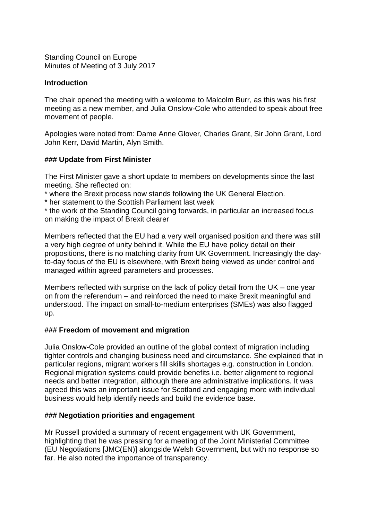Standing Council on Europe Minutes of Meeting of 3 July 2017

## **Introduction**

The chair opened the meeting with a welcome to Malcolm Burr, as this was his first meeting as a new member, and Julia Onslow-Cole who attended to speak about free movement of people.

Apologies were noted from: Dame Anne Glover, Charles Grant, Sir John Grant, Lord John Kerr, David Martin, Alyn Smith.

## **### Update from First Minister**

The First Minister gave a short update to members on developments since the last meeting. She reflected on:

\* where the Brexit process now stands following the UK General Election.

\* her statement to the Scottish Parliament last week

\* the work of the Standing Council going forwards, in particular an increased focus on making the impact of Brexit clearer

Members reflected that the EU had a very well organised position and there was still a very high degree of unity behind it. While the EU have policy detail on their propositions, there is no matching clarity from UK Government. Increasingly the dayto-day focus of the EU is elsewhere, with Brexit being viewed as under control and managed within agreed parameters and processes.

Members reflected with surprise on the lack of policy detail from the UK – one year on from the referendum – and reinforced the need to make Brexit meaningful and understood. The impact on small-to-medium enterprises (SMEs) was also flagged up.

## **### Freedom of movement and migration**

Julia Onslow-Cole provided an outline of the global context of migration including tighter controls and changing business need and circumstance. She explained that in particular regions, migrant workers fill skills shortages e.g. construction in London. Regional migration systems could provide benefits i.e. better alignment to regional needs and better integration, although there are administrative implications. It was agreed this was an important issue for Scotland and engaging more with individual business would help identify needs and build the evidence base.

## **### Negotiation priorities and engagement**

Mr Russell provided a summary of recent engagement with UK Government, highlighting that he was pressing for a meeting of the Joint Ministerial Committee (EU Negotiations [JMC(EN)] alongside Welsh Government, but with no response so far. He also noted the importance of transparency.